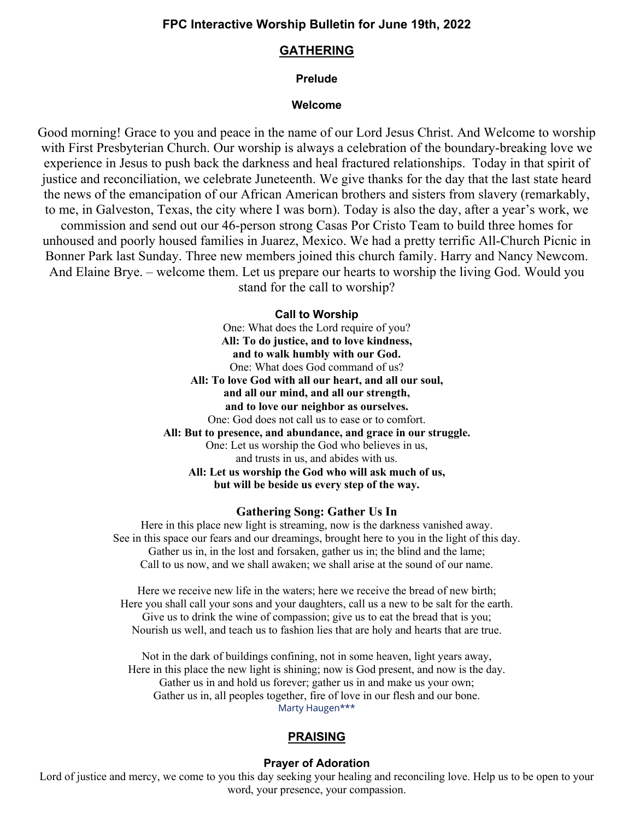# **GATHERING**

# **Prelude**

### **Welcome**

Good morning! Grace to you and peace in the name of our Lord Jesus Christ. And Welcome to worship with First Presbyterian Church. Our worship is always a celebration of the boundary-breaking love we experience in Jesus to push back the darkness and heal fractured relationships. Today in that spirit of justice and reconciliation, we celebrate Juneteenth. We give thanks for the day that the last state heard the news of the emancipation of our African American brothers and sisters from slavery (remarkably, to me, in Galveston, Texas, the city where I was born). Today is also the day, after a year's work, we commission and send out our 46-person strong Casas Por Cristo Team to build three homes for unhoused and poorly housed families in Juarez, Mexico. We had a pretty terrific All-Church Picnic in Bonner Park last Sunday. Three new members joined this church family. Harry and Nancy Newcom. And Elaine Brye. – welcome them. Let us prepare our hearts to worship the living God. Would you stand for the call to worship?

## **Call to Worship**

One: What does the Lord require of you? **All: To do justice, and to love kindness, and to walk humbly with our God.** One: What does God command of us? **All: To love God with all our heart, and all our soul, and all our mind, and all our strength, and to love our neighbor as ourselves.** One: God does not call us to ease or to comfort. **All: But to presence, and abundance, and grace in our struggle.** One: Let us worship the God who believes in us, and trusts in us, and abides with us. **All: Let us worship the God who will ask much of us, but will be beside us every step of the way.**

### **Gathering Song: Gather Us In**

Here in this place new light is streaming, now is the darkness vanished away. See in this space our fears and our dreamings, brought here to you in the light of this day. Gather us in, in the lost and forsaken, gather us in; the blind and the lame; Call to us now, and we shall awaken; we shall arise at the sound of our name.

Here we receive new life in the waters; here we receive the bread of new birth; Here you shall call your sons and your daughters, call us a new to be salt for the earth. Give us to drink the wine of compassion; give us to eat the bread that is you; Nourish us well, and teach us to fashion lies that are holy and hearts that are true.

Not in the dark of buildings confining, not in some heaven, light years away, Here in this place the new light is shining; now is God present, and now is the day. Gather us in and hold us forever; gather us in and make us your own; Gather us in, all peoples together, fire of love in our flesh and our bone. Marty Haugen\*\*\*

# **PRAISING**

### **Prayer of Adoration**

Lord of justice and mercy, we come to you this day seeking your healing and reconciling love. Help us to be open to your word, your presence, your compassion.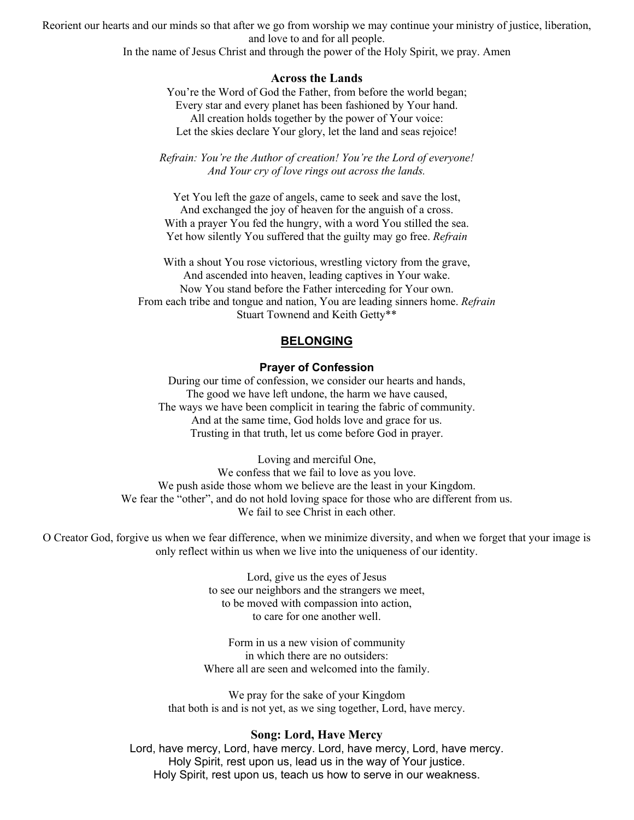Reorient our hearts and our minds so that after we go from worship we may continue your ministry of justice, liberation, and love to and for all people.

In the name of Jesus Christ and through the power of the Holy Spirit, we pray. Amen

### **Across the Lands**

You're the Word of God the Father, from before the world began; Every star and every planet has been fashioned by Your hand. All creation holds together by the power of Your voice: Let the skies declare Your glory, let the land and seas rejoice!

*Refrain: You're the Author of creation! You're the Lord of everyone! And Your cry of love rings out across the lands.*

Yet You left the gaze of angels, came to seek and save the lost, And exchanged the joy of heaven for the anguish of a cross. With a prayer You fed the hungry, with a word You stilled the sea. Yet how silently You suffered that the guilty may go free. *Refrain*

With a shout You rose victorious, wrestling victory from the grave, And ascended into heaven, leading captives in Your wake. Now You stand before the Father interceding for Your own. From each tribe and tongue and nation, You are leading sinners home. *Refrain* Stuart Townend and Keith Getty\*\*

## **BELONGING**

### **Prayer of Confession**

During our time of confession, we consider our hearts and hands, The good we have left undone, the harm we have caused, The ways we have been complicit in tearing the fabric of community. And at the same time, God holds love and grace for us. Trusting in that truth, let us come before God in prayer.

Loving and merciful One, We confess that we fail to love as you love. We push aside those whom we believe are the least in your Kingdom. We fear the "other", and do not hold loving space for those who are different from us. We fail to see Christ in each other.

O Creator God, forgive us when we fear difference, when we minimize diversity, and when we forget that your image is only reflect within us when we live into the uniqueness of our identity.

> Lord, give us the eyes of Jesus to see our neighbors and the strangers we meet, to be moved with compassion into action, to care for one another well.

Form in us a new vision of community in which there are no outsiders: Where all are seen and welcomed into the family.

We pray for the sake of your Kingdom that both is and is not yet, as we sing together, Lord, have mercy.

#### **Song: Lord, Have Mercy**

Lord, have mercy, Lord, have mercy. Lord, have mercy, Lord, have mercy. Holy Spirit, rest upon us, lead us in the way of Your justice. Holy Spirit, rest upon us, teach us how to serve in our weakness.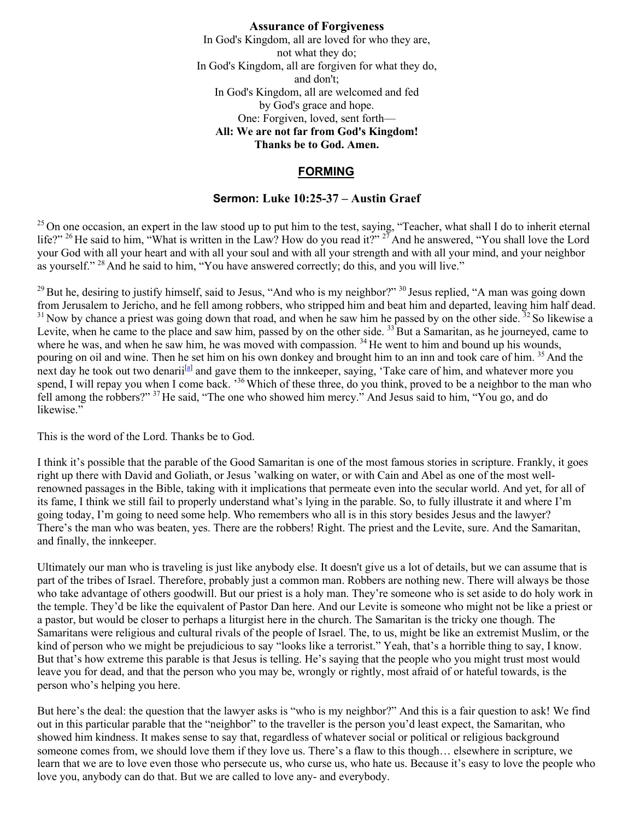**Assurance of Forgiveness** In God's Kingdom, all are loved for who they are, not what they do; In God's Kingdom, all are forgiven for what they do, and don't; In God's Kingdom, all are welcomed and fed by God's grace and hope. One: Forgiven, loved, sent forth— **All: We are not far from God's Kingdom! Thanks be to God. Amen.**

# **FORMING**

# **Sermon: Luke 10:25-37 – Austin Graef**

<sup>25</sup> On one occasion, an expert in the law stood up to put him to the test, saying, "Teacher, what shall I do to inherit eternal life?" <sup>26</sup> He said to him, "What is written in the Law? How do you read it?" <sup>27</sup> And he answered, "You shall love the Lord your God with all your heart and with all your soul and with all your strength and with all your mind, and your neighbor as yourself." <sup>28</sup> And he said to him, "You have answered correctly; do this, and you will live."

<sup>29</sup> But he, desiring to justify himself, said to Jesus, "And who is my neighbor?" <sup>30</sup> Jesus replied, "A man was going down from Jerusalem to Jericho, and he fell among robbers, who stripped him and beat him and departed, leaving him half dead.  $31$  Now by chance a priest was going down that road, and when he saw him he passed by on the other side.  $32$  So likewise a Levite, when he came to the place and saw him, passed by on the other side.  $33$  But a Samaritan, as he journeyed, came to where he was, and when he saw him, he was moved with compassion. <sup>34</sup> He went to him and bound up his wounds, pouring on oil and wine. Then he set him on his own donkey and brought him to an inn and took care of him. <sup>35</sup> And the next day he took out two denarii<sup>[a]</sup> and gave them to the innkeeper, saying, 'Take care of him, and whatever more you spend, I will repay you when I come back. '<sup>36</sup> Which of these three, do you think, proved to be a neighbor to the man who fell among the robbers?" <sup>37</sup> He said, "The one who showed him mercy." And Jesus said to him, "You go, and do likewise."

This is the word of the Lord. Thanks be to God.

I think it's possible that the parable of the Good Samaritan is one of the most famous stories in scripture. Frankly, it goes right up there with David and Goliath, or Jesus 'walking on water, or with Cain and Abel as one of the most wellrenowned passages in the Bible, taking with it implications that permeate even into the secular world. And yet, for all of its fame, I think we still fail to properly understand what's lying in the parable. So, to fully illustrate it and where I'm going today, I'm going to need some help. Who remembers who all is in this story besides Jesus and the lawyer? There's the man who was beaten, yes. There are the robbers! Right. The priest and the Levite, sure. And the Samaritan, and finally, the innkeeper.

Ultimately our man who is traveling is just like anybody else. It doesn't give us a lot of details, but we can assume that is part of the tribes of Israel. Therefore, probably just a common man. Robbers are nothing new. There will always be those who take advantage of others goodwill. But our priest is a holy man. They're someone who is set aside to do holy work in the temple. They'd be like the equivalent of Pastor Dan here. And our Levite is someone who might not be like a priest or a pastor, but would be closer to perhaps a liturgist here in the church. The Samaritan is the tricky one though. The Samaritans were religious and cultural rivals of the people of Israel. The, to us, might be like an extremist Muslim, or the kind of person who we might be prejudicious to say "looks like a terrorist." Yeah, that's a horrible thing to say, I know. But that's how extreme this parable is that Jesus is telling. He's saying that the people who you might trust most would leave you for dead, and that the person who you may be, wrongly or rightly, most afraid of or hateful towards, is the person who's helping you here.

But here's the deal: the question that the lawyer asks is "who is my neighbor?" And this is a fair question to ask! We find out in this particular parable that the "neighbor" to the traveller is the person you'd least expect, the Samaritan, who showed him kindness. It makes sense to say that, regardless of whatever social or political or religious background someone comes from, we should love them if they love us. There's a flaw to this though… elsewhere in scripture, we learn that we are to love even those who persecute us, who curse us, who hate us. Because it's easy to love the people who love you, anybody can do that. But we are called to love any- and everybody.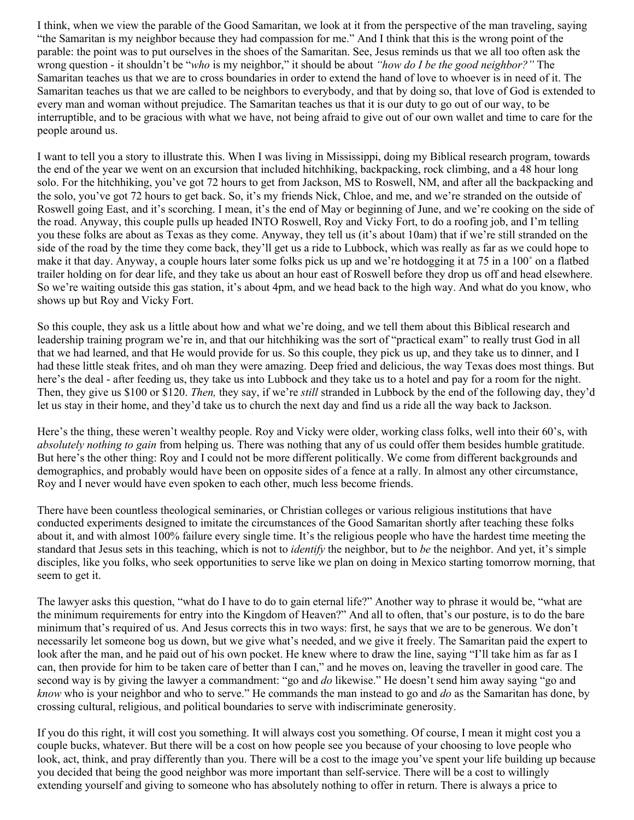I think, when we view the parable of the Good Samaritan, we look at it from the perspective of the man traveling, saying "the Samaritan is my neighbor because they had compassion for me." And I think that this is the wrong point of the parable: the point was to put ourselves in the shoes of the Samaritan. See, Jesus reminds us that we all too often ask the wrong question - it shouldn't be "*who* is my neighbor," it should be about *"how do I be the good neighbor?"* The Samaritan teaches us that we are to cross boundaries in order to extend the hand of love to whoever is in need of it. The Samaritan teaches us that we are called to be neighbors to everybody, and that by doing so, that love of God is extended to every man and woman without prejudice. The Samaritan teaches us that it is our duty to go out of our way, to be interruptible, and to be gracious with what we have, not being afraid to give out of our own wallet and time to care for the people around us.

I want to tell you a story to illustrate this. When I was living in Mississippi, doing my Biblical research program, towards the end of the year we went on an excursion that included hitchhiking, backpacking, rock climbing, and a 48 hour long solo. For the hitchhiking, you've got 72 hours to get from Jackson, MS to Roswell, NM, and after all the backpacking and the solo, you've got 72 hours to get back. So, it's my friends Nick, Chloe, and me, and we're stranded on the outside of Roswell going East, and it's scorching. I mean, it's the end of May or beginning of June, and we're cooking on the side of the road. Anyway, this couple pulls up headed INTO Roswell, Roy and Vicky Fort, to do a roofing job, and I'm telling you these folks are about as Texas as they come. Anyway, they tell us (it's about 10am) that if we're still stranded on the side of the road by the time they come back, they'll get us a ride to Lubbock, which was really as far as we could hope to make it that day. Anyway, a couple hours later some folks pick us up and we're hotdogging it at 75 in a 100˚ on a flatbed trailer holding on for dear life, and they take us about an hour east of Roswell before they drop us off and head elsewhere. So we're waiting outside this gas station, it's about 4pm, and we head back to the high way. And what do you know, who shows up but Roy and Vicky Fort.

So this couple, they ask us a little about how and what we're doing, and we tell them about this Biblical research and leadership training program we're in, and that our hitchhiking was the sort of "practical exam" to really trust God in all that we had learned, and that He would provide for us. So this couple, they pick us up, and they take us to dinner, and I had these little steak frites, and oh man they were amazing. Deep fried and delicious, the way Texas does most things. But here's the deal - after feeding us, they take us into Lubbock and they take us to a hotel and pay for a room for the night. Then, they give us \$100 or \$120. *Then,* they say, if we're *still* stranded in Lubbock by the end of the following day, they'd let us stay in their home, and they'd take us to church the next day and find us a ride all the way back to Jackson.

Here's the thing, these weren't wealthy people. Roy and Vicky were older, working class folks, well into their 60's, with *absolutely nothing to gain* from helping us. There was nothing that any of us could offer them besides humble gratitude. But here's the other thing: Roy and I could not be more different politically. We come from different backgrounds and demographics, and probably would have been on opposite sides of a fence at a rally. In almost any other circumstance, Roy and I never would have even spoken to each other, much less become friends.

There have been countless theological seminaries, or Christian colleges or various religious institutions that have conducted experiments designed to imitate the circumstances of the Good Samaritan shortly after teaching these folks about it, and with almost 100% failure every single time. It's the religious people who have the hardest time meeting the standard that Jesus sets in this teaching, which is not to *identify* the neighbor, but to *be* the neighbor. And yet, it's simple disciples, like you folks, who seek opportunities to serve like we plan on doing in Mexico starting tomorrow morning, that seem to get it.

The lawyer asks this question, "what do I have to do to gain eternal life?" Another way to phrase it would be, "what are the minimum requirements for entry into the Kingdom of Heaven?" And all to often, that's our posture, is to do the bare minimum that's required of us. And Jesus corrects this in two ways: first, he says that we are to be generous. We don't necessarily let someone bog us down, but we give what's needed, and we give it freely. The Samaritan paid the expert to look after the man, and he paid out of his own pocket. He knew where to draw the line, saying "I'll take him as far as I can, then provide for him to be taken care of better than I can," and he moves on, leaving the traveller in good care. The second way is by giving the lawyer a commandment: "go and *do* likewise." He doesn't send him away saying "go and *know* who is your neighbor and who to serve." He commands the man instead to go and *do* as the Samaritan has done, by crossing cultural, religious, and political boundaries to serve with indiscriminate generosity.

If you do this right, it will cost you something. It will always cost you something. Of course, I mean it might cost you a couple bucks, whatever. But there will be a cost on how people see you because of your choosing to love people who look, act, think, and pray differently than you. There will be a cost to the image you've spent your life building up because you decided that being the good neighbor was more important than self-service. There will be a cost to willingly extending yourself and giving to someone who has absolutely nothing to offer in return. There is always a price to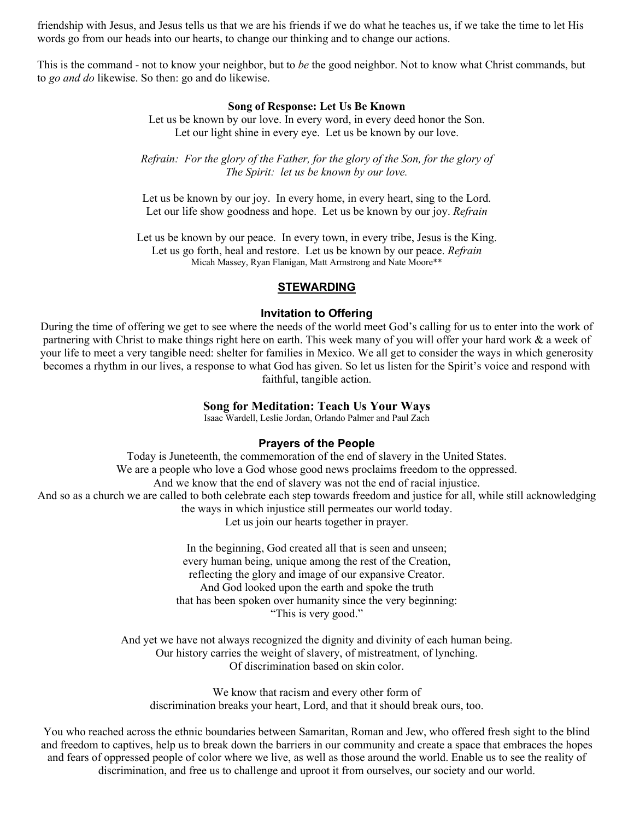friendship with Jesus, and Jesus tells us that we are his friends if we do what he teaches us, if we take the time to let His words go from our heads into our hearts, to change our thinking and to change our actions.

This is the command - not to know your neighbor, but to *be* the good neighbor. Not to know what Christ commands, but to *go and do* likewise. So then: go and do likewise.

#### **Song of Response: Let Us Be Known**

Let us be known by our love. In every word, in every deed honor the Son. Let our light shine in every eye. Let us be known by our love.

*Refrain: For the glory of the Father, for the glory of the Son, for the glory of The Spirit: let us be known by our love.*

Let us be known by our joy. In every home, in every heart, sing to the Lord. Let our life show goodness and hope. Let us be known by our joy. *Refrain*

Let us be known by our peace. In every town, in every tribe, Jesus is the King. Let us go forth, heal and restore. Let us be known by our peace. *Refrain* Micah Massey, Ryan Flanigan, Matt Armstrong and Nate Moore\*\*

#### **STEWARDING**

#### **Invitation to Offering**

During the time of offering we get to see where the needs of the world meet God's calling for us to enter into the work of partnering with Christ to make things right here on earth. This week many of you will offer your hard work & a week of your life to meet a very tangible need: shelter for families in Mexico. We all get to consider the ways in which generosity becomes a rhythm in our lives, a response to what God has given. So let us listen for the Spirit's voice and respond with faithful, tangible action.

### **Song for Meditation: Teach Us Your Ways**

Isaac Wardell, Leslie Jordan, Orlando Palmer and Paul Zach

### **Prayers of the People**

Today is Juneteenth, the commemoration of the end of slavery in the United States. We are a people who love a God whose good news proclaims freedom to the oppressed. And we know that the end of slavery was not the end of racial injustice. And so as a church we are called to both celebrate each step towards freedom and justice for all, while still acknowledging the ways in which injustice still permeates our world today. Let us join our hearts together in prayer.

> In the beginning, God created all that is seen and unseen; every human being, unique among the rest of the Creation, reflecting the glory and image of our expansive Creator. And God looked upon the earth and spoke the truth that has been spoken over humanity since the very beginning: "This is very good."

And yet we have not always recognized the dignity and divinity of each human being. Our history carries the weight of slavery, of mistreatment, of lynching. Of discrimination based on skin color.

We know that racism and every other form of discrimination breaks your heart, Lord, and that it should break ours, too.

You who reached across the ethnic boundaries between Samaritan, Roman and Jew, who offered fresh sight to the blind and freedom to captives, help us to break down the barriers in our community and create a space that embraces the hopes and fears of oppressed people of color where we live, as well as those around the world. Enable us to see the reality of discrimination, and free us to challenge and uproot it from ourselves, our society and our world.